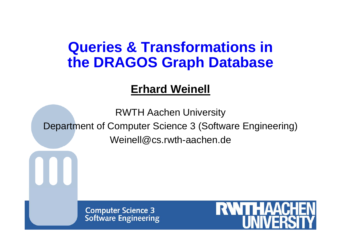# **Queries & Transformations in the DRAGOS Graph Database**

#### **Erhard Weinell**

RWTH Aachen University Department of Computer Science 3 (Software Engineering) Weinell@cs.rwth-aachen.de

> **Computer Science 3 Software Engineering**

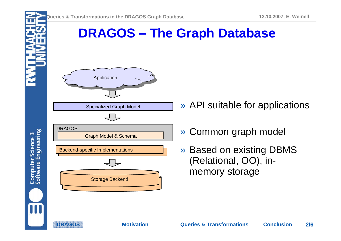

**DRAGOS**



- » API suitable for applications
- » Common graph model
- » Based on existing DBMS (Relational, OO), inmemory storage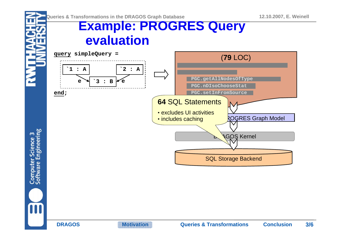**Queries & Transformations in the DRAGOS Graph Database**

### **Example: PROGRES Query evaluation**



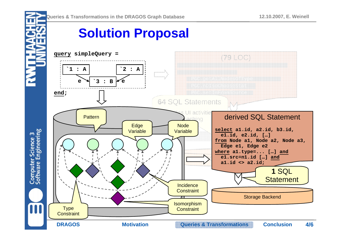

# **Solution Proposal**

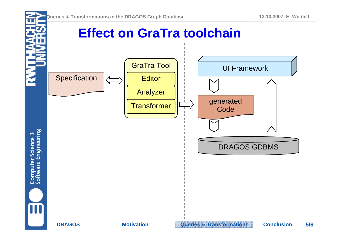**Effect on GraTra toolchain**GraTra Tool UI Framework **Specification Editor** Analyzer generated Transformer **Code** Computer Science 3<br>Software Engineering DRAGOS GDBMS **OOO DRAGOSMotivation Queries & Transformations Conclusion**

#### **5/6**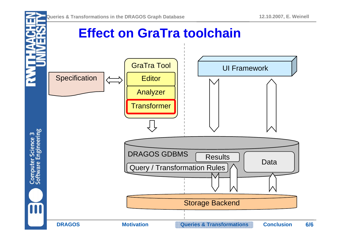